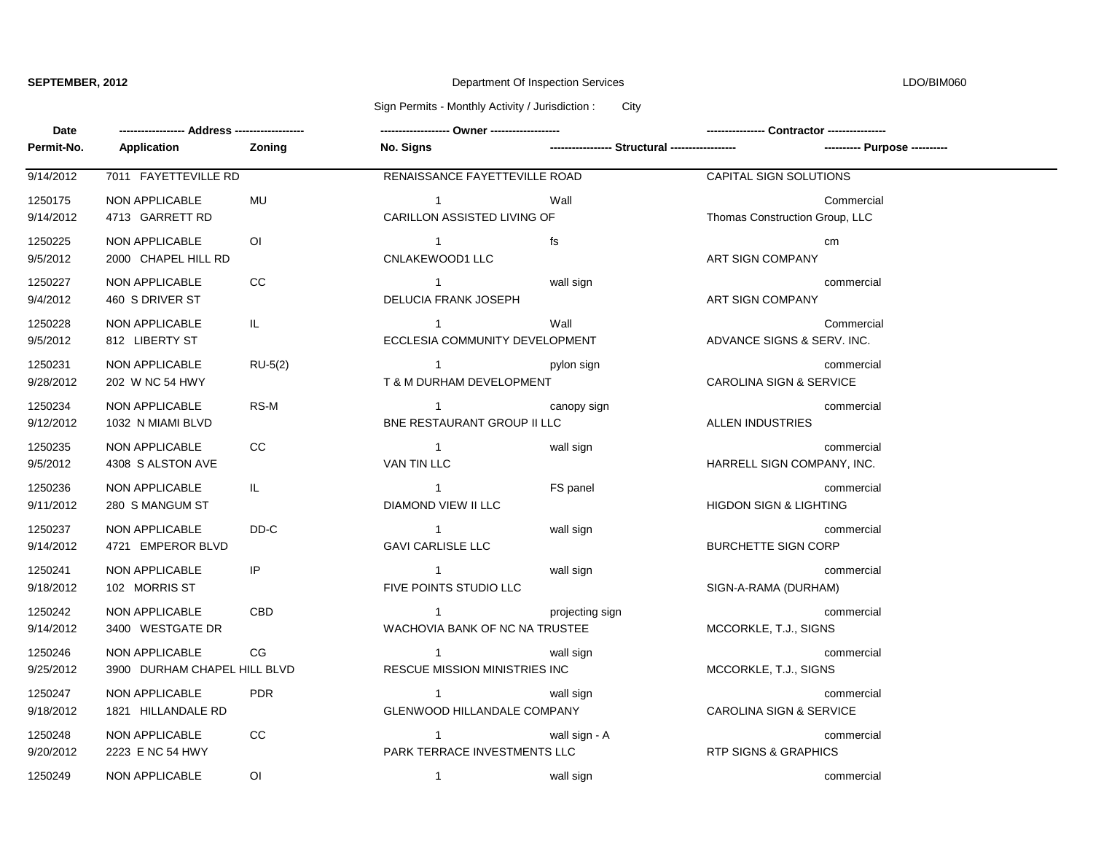## **SEPTEMBER, 2012** Department Of Inspection Services LDO/BIM060

Sign Permits - Monthly Activity / Jurisdiction : City

| Date                 |                                                |                |                                                        |                                                 |                                    |            |
|----------------------|------------------------------------------------|----------------|--------------------------------------------------------|-------------------------------------------------|------------------------------------|------------|
| Permit-No.           | Application                                    | Zoning         | No. Signs                                              | ----------------- Structural ------------------ |                                    |            |
| 9/14/2012            | 7011 FAYETTEVILLE RD                           |                | RENAISSANCE FAYETTEVILLE ROAD                          |                                                 | CAPITAL SIGN SOLUTIONS             |            |
| 1250175<br>9/14/2012 | <b>NON APPLICABLE</b><br>4713 GARRETT RD       | MU             | $\overline{1}$<br>CARILLON ASSISTED LIVING OF          | Wall                                            | Thomas Construction Group, LLC     | Commercial |
| 1250225<br>9/5/2012  | <b>NON APPLICABLE</b><br>2000 CHAPEL HILL RD   | $\overline{O}$ | $\overline{1}$<br>CNLAKEWOOD1 LLC                      | fs                                              | ART SIGN COMPANY                   | cm         |
| 1250227<br>9/4/2012  | <b>NON APPLICABLE</b><br>460 S DRIVER ST       | CC             | $\mathbf{1}$<br>DELUCIA FRANK JOSEPH                   | wall sign                                       | ART SIGN COMPANY                   | commercial |
| 1250228<br>9/5/2012  | NON APPLICABLE<br>812 LIBERTY ST               | IL.            | $\overline{1}$<br>ECCLESIA COMMUNITY DEVELOPMENT       | Wall                                            | ADVANCE SIGNS & SERV. INC.         | Commercial |
| 1250231<br>9/28/2012 | <b>NON APPLICABLE</b><br>202 W NC 54 HWY       | $RU-5(2)$      | $\overline{1}$<br>T & M DURHAM DEVELOPMENT             | pylon sign                                      | CAROLINA SIGN & SERVICE            | commercial |
| 1250234<br>9/12/2012 | NON APPLICABLE<br>1032 N MIAMI BLVD            | RS-M           | $\overline{1}$<br>BNE RESTAURANT GROUP II LLC          | canopy sign                                     | <b>ALLEN INDUSTRIES</b>            | commercial |
| 1250235<br>9/5/2012  | <b>NON APPLICABLE</b><br>4308 S ALSTON AVE     | CC             | $\overline{1}$<br>VAN TIN LLC                          | wall sign                                       | HARRELL SIGN COMPANY, INC.         | commercial |
| 1250236<br>9/11/2012 | <b>NON APPLICABLE</b><br>280 S MANGUM ST       | IL.            | $\overline{1}$<br>DIAMOND VIEW II LLC                  | FS panel                                        | <b>HIGDON SIGN &amp; LIGHTING</b>  | commercial |
| 1250237<br>9/14/2012 | NON APPLICABLE<br>4721 EMPEROR BLVD            | DD-C           | $\blacksquare$ 1<br><b>GAVI CARLISLE LLC</b>           | wall sign                                       | <b>BURCHETTE SIGN CORP</b>         | commercial |
| 1250241<br>9/18/2012 | NON APPLICABLE<br>102 MORRIS ST                | IP             | $\overline{1}$<br>FIVE POINTS STUDIO LLC               | wall sign                                       | SIGN-A-RAMA (DURHAM)               | commercial |
| 1250242<br>9/14/2012 | <b>NON APPLICABLE</b><br>3400 WESTGATE DR      | <b>CBD</b>     | $\mathbf{1}$<br>WACHOVIA BANK OF NC NA TRUSTEE         | projecting sign                                 | MCCORKLE, T.J., SIGNS              | commercial |
| 1250246<br>9/25/2012 | NON APPLICABLE<br>3900 DURHAM CHAPEL HILL BLVD | CG             | $\overline{1}$<br><b>RESCUE MISSION MINISTRIES INC</b> | wall sign                                       | MCCORKLE, T.J., SIGNS              | commercial |
| 1250247<br>9/18/2012 | <b>NON APPLICABLE</b><br>1821 HILLANDALE RD    | <b>PDR</b>     | $\mathbf{1}$<br>GLENWOOD HILLANDALE COMPANY            | wall sign                                       | <b>CAROLINA SIGN &amp; SERVICE</b> | commercial |
| 1250248<br>9/20/2012 | NON APPLICABLE<br>2223 E NC 54 HWY             | <b>CC</b>      | $\overline{1}$<br>PARK TERRACE INVESTMENTS LLC         | wall sign - A                                   | RTP SIGNS & GRAPHICS               | commercial |
| 1250249              | NON APPLICABLE                                 | $\overline{O}$ | $\overline{1}$                                         | wall sign                                       |                                    | commercial |